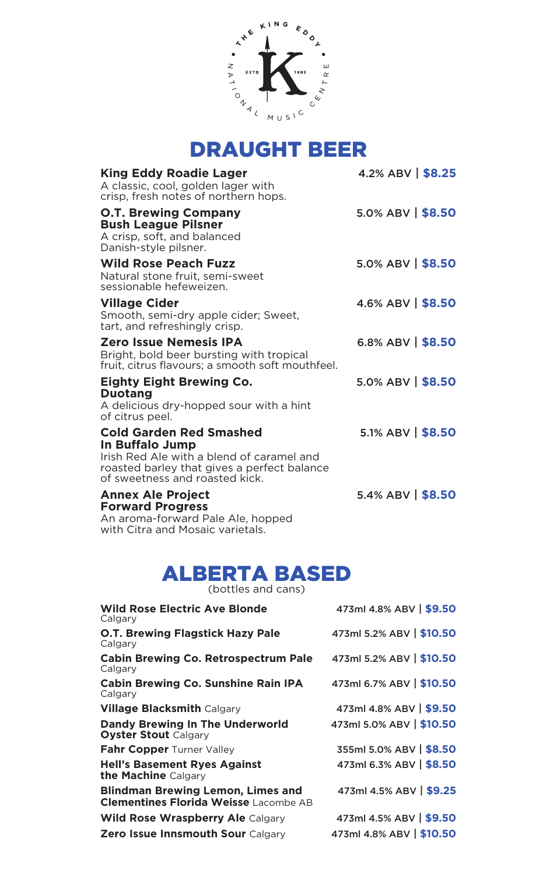

| <b>King Eddy Roadie Lager</b><br>A classic, cool, golden lager with<br>crisp, fresh notes of northern hops.                                                              | 4.2% ABV $\frac{1}{98.25}$       |
|--------------------------------------------------------------------------------------------------------------------------------------------------------------------------|----------------------------------|
| <b>O.T. Brewing Company</b><br><b>Bush League Pilsner</b><br>A crisp, soft, and balanced<br>Danish-style pilsner.                                                        | $5.0\%$ ABV $\frac{1}{2}$ \$8.50 |
| <b>Wild Rose Peach Fuzz</b><br>Natural stone fruit, semi-sweet<br>sessionable hefeweizen.                                                                                | $5.0\%$ ABV $\frac{1}{2}$ \$8.50 |
| <b>Village Cider</b><br>Smooth, semi-dry apple cider; Sweet,<br>tart, and refreshingly crisp.                                                                            | $4.6\%$ ABV $\frac{1}{2}$ \$8.50 |
| Zero Issue Nemesis IPA<br>Bright, bold beer bursting with tropical<br>fruit, citrus flavours; a smooth soft mouthfeel.                                                   | 6.8% ABV $  $8.50$               |
| Eighty Eight Brewing Co.<br><b>Duotang</b><br>A delicious dry-hopped sour with a hint<br>of citrus peel.                                                                 | $5.0\%$ ABV $\mid$ \$8.50        |
| Cold Garden Red Smashed<br>In Buffalo Jump<br>Irish Red Ale with a blend of caramel and<br>roasted barley that gives a perfect balance<br>of sweetness and roasted kick. | $5.1\%$ ABV $\frac{1}{2}$ \$8.50 |
| <b>Annex Ale Project</b><br><b>Forward Progress</b><br>An aroma-forward Pale Ale, hopped<br>with Citra and Mosaic varietals.                                             | $5.4\%$ ABV $\frac{1}{2}$ \$8.50 |

# ALBERTA BASED

(bottles and cans)

| 473ml 4.8% ABV   \$9.50  |
|--------------------------|
| 473ml 5.2% ABV   \$10.50 |
| 473ml 5.2% ABV   \$10.50 |
| 473ml 6.7% ABV   \$10.50 |
| 473ml 4.8% ABV   \$9.50  |
| 473ml 5.0% ABV   \$10.50 |
| 355ml 5.0% ABV   \$8.50  |
| 473ml 6.3% ABV   \$8.50  |
| 473ml 4.5% ABV   \$9.25  |
| 473ml 4.5% ABV   \$9.50  |
| 473ml 4.8% ABV   \$10.50 |
|                          |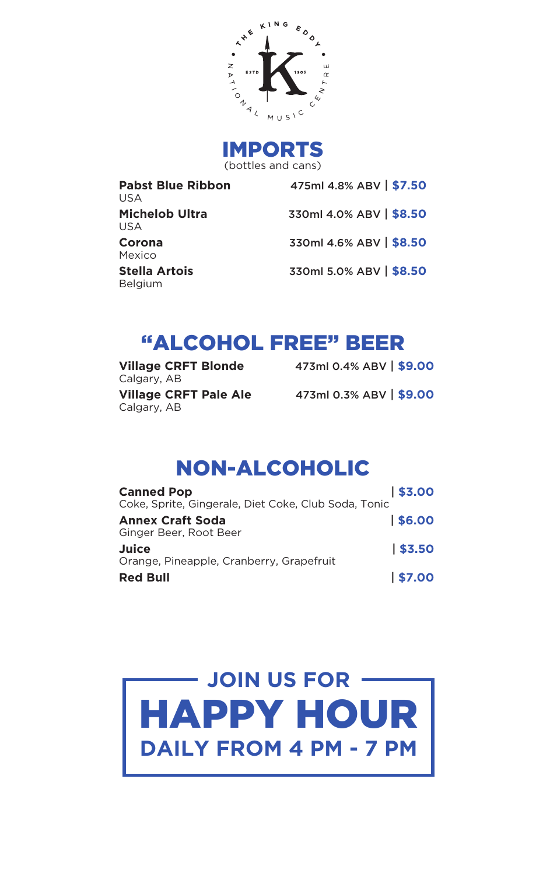

IMPORTS (bottles and cans)

| <b>Pabst Blue Ribbon</b><br>USA.       | 475ml 4.8% ABV   \$7.50 |
|----------------------------------------|-------------------------|
| Michelob Ultra<br>USA.                 | 330ml 4.0% ABV   \$8.50 |
| Corona<br>Mexico                       | 330ml 4.6% ABV   \$8.50 |
| <b>Stella Artois</b><br><b>Belgium</b> | 330ml 5.0% ABV   \$8.50 |

# "ALCOHOL FREE" BEER

Calgary, AB Calgary, AB

**Village CRFT Blonde** 473ml 0.4% ABV | **\$9.00 Village CRFT Pale Ale** 473ml 0.3% ABV | **\$9.00**

# NON-ALCOHOLIC

| <b>Canned Pop</b>                                    | \$3.00 |
|------------------------------------------------------|--------|
| Coke, Sprite, Gingerale, Diet Coke, Club Soda, Tonic |        |
| <b>Annex Craft Soda</b><br>Ginger Beer, Root Beer    | \$6.00 |
| Juice<br>Orange, Pineapple, Cranberry, Grapefruit    | \$3,50 |
| <b>Red Bull</b>                                      | \$7.00 |

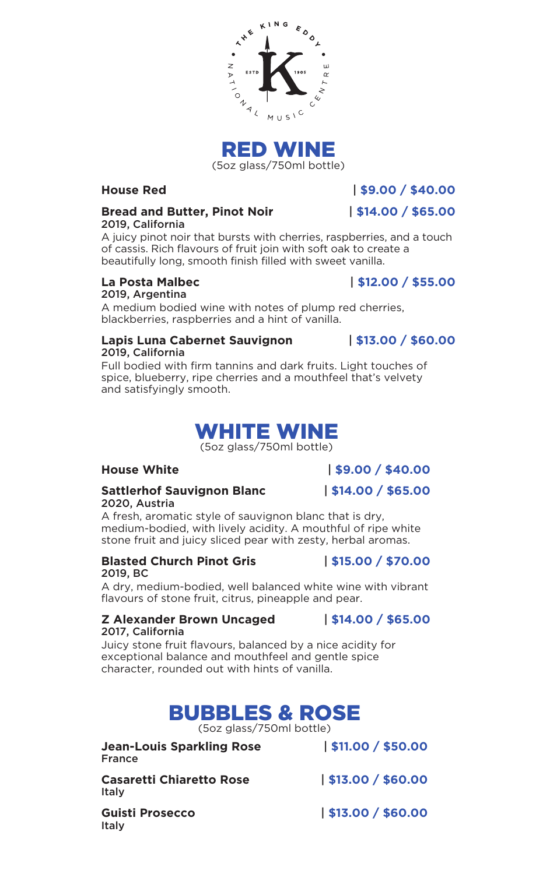



**House Red** | **\$9.00 / \$40.00**

### **Bread and Butter, Pinot Noir** | **\$14.00 / \$65.00** 2019, California

A juicy pinot noir that bursts with cherries, raspberries, and a touch of cassis. Rich flavours of fruit join with soft oak to create a beautifully long, smooth finish filled with sweet vanilla.

### **La Posta Malbec** | **\$12.00 / \$55.00** 2019, Argentina

A medium bodied wine with notes of plump red cherries, blackberries, raspberries and a hint of vanilla.

#### **Lapis Luna Cabernet Sauvignon** | **\$13.00 / \$60.00** 2019, California

Full bodied with firm tannins and dark fruits. Light touches of spice, blueberry, ripe cherries and a mouthfeel that's velvety and satisfyingly smooth.

## WHITE WINE

(5oz glass/750ml bottle)

**House White** | **\$9.00 / \$40.00**

#### **Sattlerhof Sauvignon Blanc** | **\$14.00 / \$65.00** 2020, Austria

A fresh, aromatic style of sauvignon blanc that is dry, medium-bodied, with lively acidity. A mouthful of ripe white stone fruit and juicy sliced pear with zesty, herbal aromas.

### **Blasted Church Pinot Gris** | **\$15.00 / \$70.00** 2019, BC

A dry, medium-bodied, well balanced white wine with vibrant flavours of stone fruit, citrus, pineapple and pear.

### **Z Alexander Brown Uncaged** | **\$14.00 / \$65.00** 2017, California

Juicy stone fruit flavours, balanced by a nice acidity for exceptional balance and mouthfeel and gentle spice character, rounded out with hints of vanilla.

# BUBBLES & ROSE

(5oz glass/750ml bottle)

| <b>Jean-Louis Sparkling Rose</b> |  |
|----------------------------------|--|
| France                           |  |

**Casaretti Chiaretto Rose** | **\$13.00 / \$60.00** Italy

**Jean-Louis Sparkling Rose** | **\$11.00 / \$50.00**

Italy

**Guisti Prosecco** | **\$13.00 / \$60.00**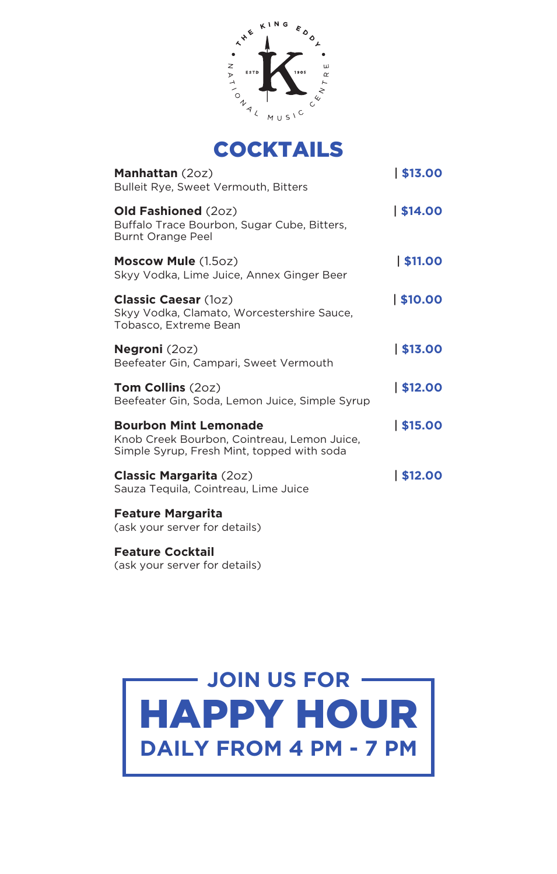



| <b>Manhattan</b> (20z)<br><b>Bulleit Rye, Sweet Vermouth, Bitters</b>                                                     | 513.00  |
|---------------------------------------------------------------------------------------------------------------------------|---------|
| <b>Old Fashioned (20z)</b><br>Buffalo Trace Bourbon, Sugar Cube, Bitters,<br>Burnt Orange Peel                            | \$14.00 |
| <b>Moscow Mule (1.5oz)</b><br>Skyy Vodka, Lime Juice, Annex Ginger Beer                                                   | \$11.00 |
| <b>Classic Caesar (10Z)</b><br>Skyy Vodka, Clamato, Worcestershire Sauce,<br>Tobasco, Extreme Bean                        | \$10.00 |
| <b>Negroni</b> $(2oz)$<br>Beefeater Gin, Campari, Sweet Vermouth                                                          | \$13.00 |
| <b>Tom Collins</b> $(20z)$<br>Beefeater Gin, Soda, Lemon Juice, Simple Syrup                                              | \$12.00 |
| <b>Bourbon Mint Lemonade</b><br>Knob Creek Bourbon, Cointreau, Lemon Juice,<br>Simple Syrup, Fresh Mint, topped with soda | \$15.00 |
| <b>Classic Margarita</b> (20z)<br>Sauza Tequila, Cointreau, Lime Juice                                                    | \$12.00 |
| <b>Feature Margarita</b><br>(ask your server for details)                                                                 |         |

**Feature Cocktail** (ask your server for details)